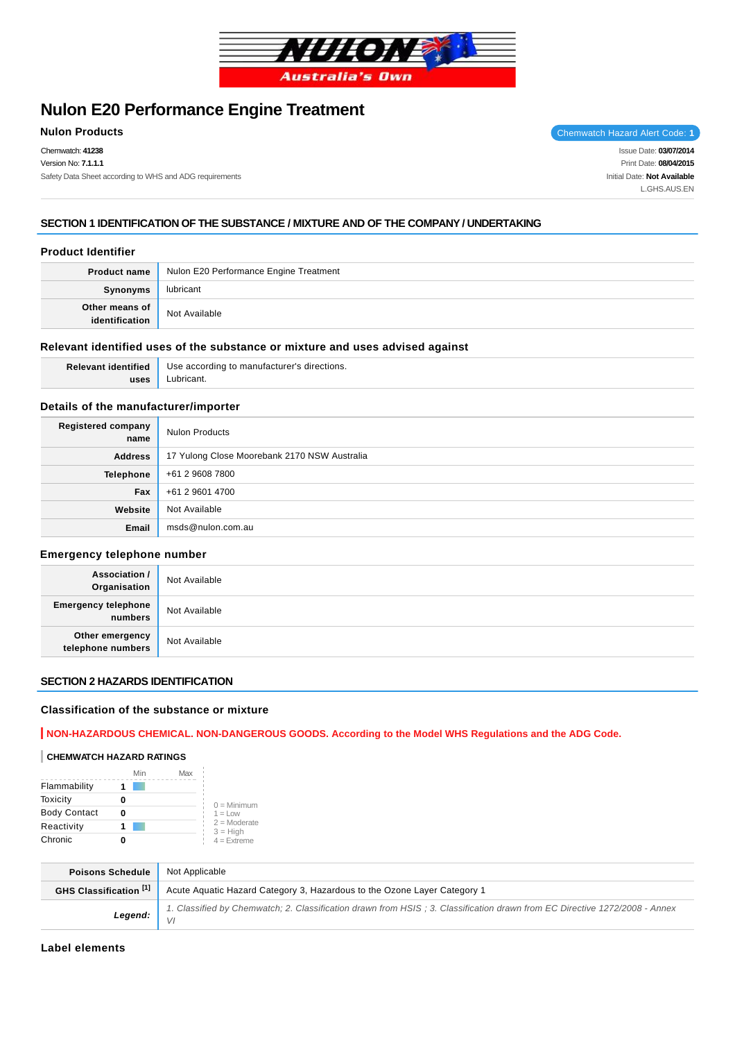

# **Nulon E20 Performance Engine Treatment**

Chemwatch: **41238** Version No: **7.1.1.1** Safety Data Sheet according to WHS and ADG requirements

**Nulon Products Chemwatch Hazard Alert Code: 1** 

Issue Date: **03/07/2014** Print Date: **08/04/2015** Initial Date: **Not Available** L.GHS.AUS.EN

# **SECTION 1 IDENTIFICATION OF THE SUBSTANCE / MIXTURE AND OF THE COMPANY / UNDERTAKING**

# **Product Identifier**

| <b>Product name</b> | Nulon E20 Performance Engine Treatment |  |
|---------------------|----------------------------------------|--|
| Synonyms            | lubricant                              |  |
| Other means of      | Not Available                          |  |

#### **Relevant identified uses of the substance or mixture and uses advised against**

**Relevant identified uses**

Use according to manufacturer's directions. Lubricant.

# **Details of the manufacturer/importer**

| <b>Registered company</b><br>name | <b>Nulon Products</b>                        |
|-----------------------------------|----------------------------------------------|
| <b>Address</b>                    | 17 Yulong Close Moorebank 2170 NSW Australia |
| Telephone                         | +61 2 9608 7800                              |
| Fax                               | +61 2 9601 4700                              |
| Website                           | Not Available                                |
| Email                             | msds@nulon.com.au                            |

### **Emergency telephone number**

| <b>Association /</b><br>Organisation  | Not Available |
|---------------------------------------|---------------|
| <b>Emergency telephone</b><br>numbers | Not Available |
| Other emergency<br>telephone numbers  | Not Available |

# **SECTION 2 HAZARDS IDENTIFICATION**

### **Classification of the substance or mixture**

# **NON-HAZARDOUS CHEMICAL. NON-DANGEROUS GOODS. According to the Model WHS Regulations and the ADG Code.**

#### **CHEMWATCH HAZARD RATINGS**

|                     | Min | Max |                              |
|---------------------|-----|-----|------------------------------|
| Flammability        |     |     |                              |
| Toxicity            |     |     | $0 =$ Minimum                |
| <b>Body Contact</b> |     |     | $1 = 1$ $\Omega$             |
| Reactivity          |     |     | $2 =$ Moderate<br>$3 = High$ |
| Chronic             |     |     | $4 =$ Extreme                |

| <b>Poisons Schedule</b> | Not Applicable                                                                                                             |
|-------------------------|----------------------------------------------------------------------------------------------------------------------------|
| GHS Classification [1]  | Acute Aquatic Hazard Category 3, Hazardous to the Ozone Layer Category 1                                                   |
| Legend:                 | 1. Classified by Chemwatch; 2. Classification drawn from HSIS; 3. Classification drawn from EC Directive 1272/2008 - Annex |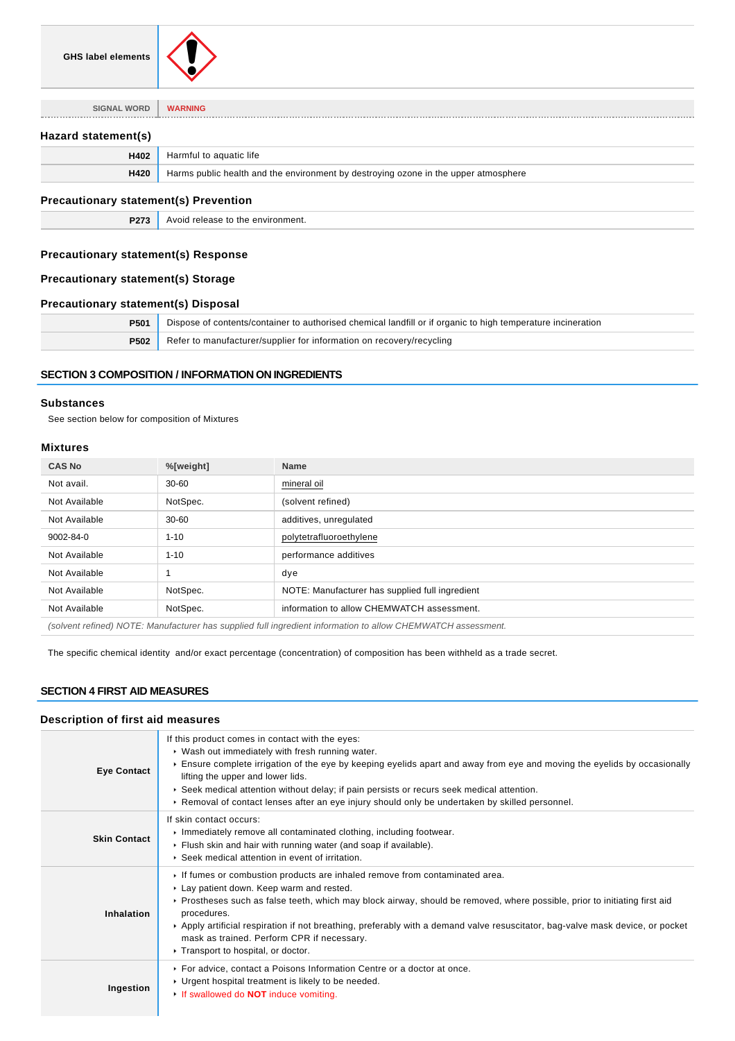

**SIGNAL WORD WARNING**

# **Hazard statement(s)**

| H402 | Harmful to aquatic life                                                             |
|------|-------------------------------------------------------------------------------------|
| H420 | Harms public health and the environment by destroying ozone in the upper atmosphere |

#### **Precautionary statement(s) Prevention**

**P273** Avoid release to the environment.

# **Precautionary statement(s) Response**

# **Precautionary statement(s) Storage**

# **Precautionary statement(s) Disposal**

| P501        | Dispose of contents/container to authorised chemical landfill or if organic to high temperature incineration |  |
|-------------|--------------------------------------------------------------------------------------------------------------|--|
| <b>P502</b> | Refer to manufacturer/supplier for information on recovery/recycling                                         |  |

# **SECTION 3 COMPOSITION / INFORMATION ON INGREDIENTS**

#### **Substances**

See section below for composition of Mixtures

#### **Mixtures**

| <b>CAS No</b>                                                                                                | %[weight] | <b>Name</b>                                     |
|--------------------------------------------------------------------------------------------------------------|-----------|-------------------------------------------------|
| Not avail.                                                                                                   | $30 - 60$ | mineral oil                                     |
| Not Available                                                                                                | NotSpec.  | (solvent refined)                               |
| Not Available                                                                                                | $30 - 60$ | additives, unregulated                          |
| 9002-84-0                                                                                                    | $1 - 10$  | polytetrafluoroethylene                         |
| Not Available                                                                                                | $1 - 10$  | performance additives                           |
| Not Available                                                                                                |           | dye                                             |
| Not Available                                                                                                | NotSpec.  | NOTE: Manufacturer has supplied full ingredient |
| Not Available                                                                                                | NotSpec.  | information to allow CHEMWATCH assessment.      |
| (solvent refined) NOTE: Manufacturer has supplied full ingredient information to allow CHEMWATCH assessment. |           |                                                 |

The specific chemical identity and/or exact percentage (concentration) of composition has been withheld as a trade secret.

# **SECTION 4 FIRST AID MEASURES**

# **Description of first aid measures**

| <b>Eye Contact</b>  | If this product comes in contact with the eyes:<br>▶ Wash out immediately with fresh running water.<br>Ensure complete irrigation of the eye by keeping eyelids apart and away from eye and moving the eyelids by occasionally<br>lifting the upper and lower lids.<br>▶ Seek medical attention without delay; if pain persists or recurs seek medical attention.<br>► Removal of contact lenses after an eye injury should only be undertaken by skilled personnel.                      |
|---------------------|-------------------------------------------------------------------------------------------------------------------------------------------------------------------------------------------------------------------------------------------------------------------------------------------------------------------------------------------------------------------------------------------------------------------------------------------------------------------------------------------|
| <b>Skin Contact</b> | If skin contact occurs:<br>Immediately remove all contaminated clothing, including footwear.<br>Flush skin and hair with running water (and soap if available).<br>▶ Seek medical attention in event of irritation.                                                                                                                                                                                                                                                                       |
| Inhalation          | If fumes or combustion products are inhaled remove from contaminated area.<br>Lay patient down. Keep warm and rested.<br>▶ Prostheses such as false teeth, which may block airway, should be removed, where possible, prior to initiating first aid<br>procedures.<br>▶ Apply artificial respiration if not breathing, preferably with a demand valve resuscitator, bag-valve mask device, or pocket<br>mask as trained. Perform CPR if necessary.<br>▶ Transport to hospital, or doctor. |
| Ingestion           | ▶ For advice, contact a Poisons Information Centre or a doctor at once.<br>• Urgent hospital treatment is likely to be needed.<br>If swallowed do <b>NOT</b> induce vomiting.                                                                                                                                                                                                                                                                                                             |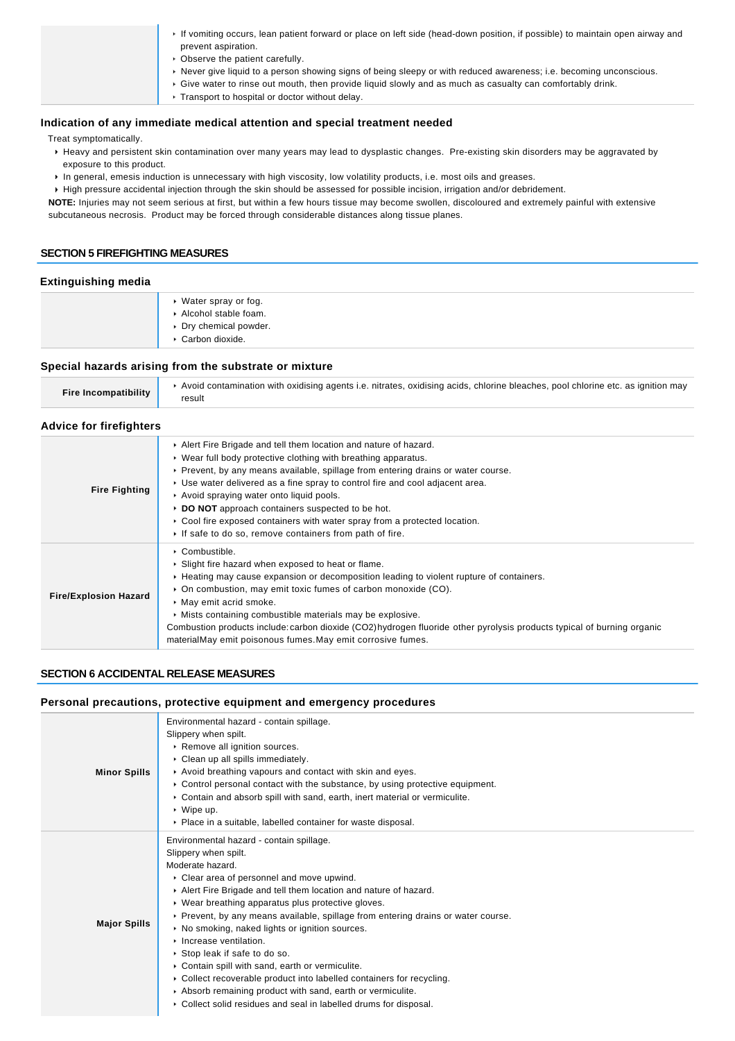| If vomiting occurs, lean patient forward or place on left side (head-down position, if possible) to maintain open airway and<br>prevent aspiration. |
|-----------------------------------------------------------------------------------------------------------------------------------------------------|
|                                                                                                                                                     |
| • Observe the patient carefully.                                                                                                                    |
| ► Never give liquid to a person showing signs of being sleepy or with reduced awareness; i.e. becoming unconscious.                                 |
| ► Give water to rinse out mouth, then provide liquid slowly and as much as casualty can comfortably drink.                                          |
| Transport to hospital or doctor without delay.                                                                                                      |

# **Indication of any immediate medical attention and special treatment needed**

Treat symptomatically.

- Heavy and persistent skin contamination over many years may lead to dysplastic changes. Pre-existing skin disorders may be aggravated by exposure to this product.
- In general, emesis induction is unnecessary with high viscosity, low volatility products, i.e. most oils and greases.

High pressure accidental injection through the skin should be assessed for possible incision, irrigation and/or debridement. **NOTE:** Injuries may not seem serious at first, but within a few hours tissue may become swollen, discoloured and extremely painful with extensive

subcutaneous necrosis. Product may be forced through considerable distances along tissue planes.

### **SECTION 5 FIREFIGHTING MEASURES**

# **Extinguishing media**

- Water spray or fog. Alcohol stable foam.
- Dry chemical powder.
- Carbon dioxide.

# **Special hazards arising from the substrate or mixture**

| Fire Incompatibility | ► Avoid contamination with oxidising agents i.e. nitrates, oxidising acids, chlorine bleaches, pool chlorine etc. as ignition may<br>result |
|----------------------|---------------------------------------------------------------------------------------------------------------------------------------------|

# **Advice for firefighters**

| <b>Fire Fighting</b>         | Alert Fire Brigade and tell them location and nature of hazard.<br>• Wear full body protective clothing with breathing apparatus.<br>► Prevent, by any means available, spillage from entering drains or water course.<br>► Use water delivered as a fine spray to control fire and cool adjacent area.<br>Avoid spraying water onto liquid pools.<br>▶ DO NOT approach containers suspected to be hot.<br>► Cool fire exposed containers with water spray from a protected location.<br>If safe to do so, remove containers from path of fire. |
|------------------------------|-------------------------------------------------------------------------------------------------------------------------------------------------------------------------------------------------------------------------------------------------------------------------------------------------------------------------------------------------------------------------------------------------------------------------------------------------------------------------------------------------------------------------------------------------|
| <b>Fire/Explosion Hazard</b> | $\triangleright$ Combustible.<br>• Slight fire hazard when exposed to heat or flame.<br>► Heating may cause expansion or decomposition leading to violent rupture of containers.<br>• On combustion, may emit toxic fumes of carbon monoxide (CO).<br>• May emit acrid smoke.<br>• Mists containing combustible materials may be explosive.<br>Combustion products include: carbon dioxide (CO2)hydrogen fluoride other pyrolysis products typical of burning organic<br>materialMay emit poisonous fumes. May emit corrosive fumes.            |

#### **SECTION 6 ACCIDENTAL RELEASE MEASURES**

| Personal precautions, protective equipment and emergency procedures |                                                                                                                                                                                                                                                                                                                                                                                                                                                                                                                                                                                                                                                                                                                        |  |  |  |
|---------------------------------------------------------------------|------------------------------------------------------------------------------------------------------------------------------------------------------------------------------------------------------------------------------------------------------------------------------------------------------------------------------------------------------------------------------------------------------------------------------------------------------------------------------------------------------------------------------------------------------------------------------------------------------------------------------------------------------------------------------------------------------------------------|--|--|--|
| <b>Minor Spills</b>                                                 | Environmental hazard - contain spillage.<br>Slippery when spilt.<br>Remove all ignition sources.<br>Clean up all spills immediately.<br>Avoid breathing vapours and contact with skin and eyes.<br>► Control personal contact with the substance, by using protective equipment.<br>Contain and absorb spill with sand, earth, inert material or vermiculite.<br>▶ Wipe up.<br>• Place in a suitable, labelled container for waste disposal.                                                                                                                                                                                                                                                                           |  |  |  |
| <b>Major Spills</b>                                                 | Environmental hazard - contain spillage.<br>Slippery when spilt.<br>Moderate hazard.<br>Clear area of personnel and move upwind.<br>Alert Fire Brigade and tell them location and nature of hazard.<br>▶ Wear breathing apparatus plus protective gloves.<br>► Prevent, by any means available, spillage from entering drains or water course.<br>▶ No smoking, naked lights or ignition sources.<br>Increase ventilation.<br>▶ Stop leak if safe to do so.<br>Contain spill with sand, earth or vermiculite.<br>• Collect recoverable product into labelled containers for recycling.<br>Absorb remaining product with sand, earth or vermiculite.<br>Collect solid residues and seal in labelled drums for disposal. |  |  |  |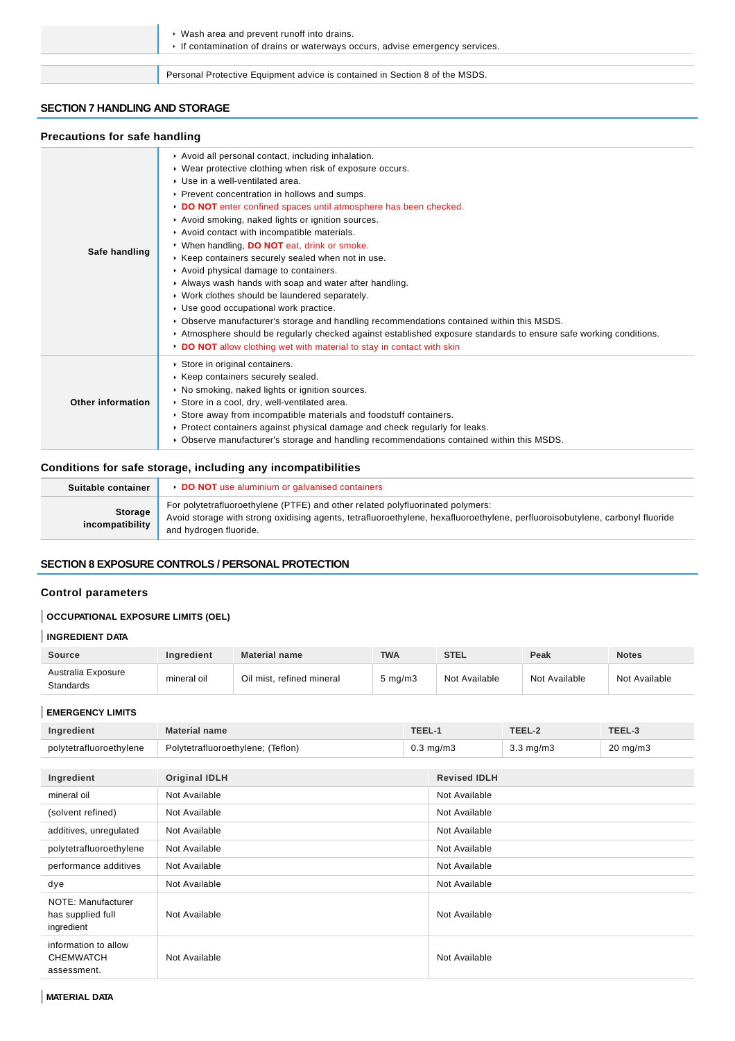| • Wash area and prevent runoff into drains.<br>If contamination of drains or waterways occurs, advise emergency services. |
|---------------------------------------------------------------------------------------------------------------------------|
|                                                                                                                           |
| Personal Protective Equipment advice is contained in Section 8 of the MSDS.                                               |

### **SECTION 7 HANDLING AND STORAGE**

### **Precautions for safe handling**

| Safe handling     | Avoid all personal contact, including inhalation.<br>• Wear protective clothing when risk of exposure occurs.<br>▶ Use in a well-ventilated area.<br>▶ Prevent concentration in hollows and sumps.<br>DO NOT enter confined spaces until atmosphere has been checked.<br>Avoid smoking, naked lights or ignition sources.<br>Avoid contact with incompatible materials.<br>▶ When handling, DO NOT eat, drink or smoke.<br>▶ Keep containers securely sealed when not in use.<br>Avoid physical damage to containers.<br>Always wash hands with soap and water after handling.<br>▶ Work clothes should be laundered separately.<br>▶ Use good occupational work practice.<br>• Observe manufacturer's storage and handling recommendations contained within this MSDS.<br>Atmosphere should be regularly checked against established exposure standards to ensure safe working conditions.<br>DO NOT allow clothing wet with material to stay in contact with skin |
|-------------------|---------------------------------------------------------------------------------------------------------------------------------------------------------------------------------------------------------------------------------------------------------------------------------------------------------------------------------------------------------------------------------------------------------------------------------------------------------------------------------------------------------------------------------------------------------------------------------------------------------------------------------------------------------------------------------------------------------------------------------------------------------------------------------------------------------------------------------------------------------------------------------------------------------------------------------------------------------------------|
| Other information | Store in original containers.<br>▶ Keep containers securely sealed.<br>▶ No smoking, naked lights or ignition sources.<br>Store in a cool, dry, well-ventilated area.<br>▶ Store away from incompatible materials and foodstuff containers.<br>▶ Protect containers against physical damage and check regularly for leaks.<br>▶ Observe manufacturer's storage and handling recommendations contained within this MSDS.                                                                                                                                                                                                                                                                                                                                                                                                                                                                                                                                             |

# **Conditions for safe storage, including any incompatibilities**

| Suitable container         | <b>DO NOT</b> use aluminium or galvanised containers                                                                                                                                                                                     |
|----------------------------|------------------------------------------------------------------------------------------------------------------------------------------------------------------------------------------------------------------------------------------|
| Storage<br>incompatibility | For polytetrafluoroethylene (PTFE) and other related polyfluorinated polymers:<br>Avoid storage with strong oxidising agents, tetrafluoroethylene, hexafluoroethylene, perfluoroisobutylene, carbonyl fluoride<br>and hydrogen fluoride. |

# **SECTION 8 EXPOSURE CONTROLS / PERSONAL PROTECTION**

# **Control parameters**

# **OCCUPATIONAL EXPOSURE LIMITS (OEL)**

# **INGREDIENT DATA**

| <b>Source</b>                          | <b>Ingredient</b> | <b>Material name</b>      | <b>TWA</b>       | <b>STEL</b>   | Peak          | <b>Notes</b>  |
|----------------------------------------|-------------------|---------------------------|------------------|---------------|---------------|---------------|
| Australia Exposure<br><b>Standards</b> | mineral oil       | Oil mist, refined mineral | $5 \text{ mg/m}$ | Not Available | Not Available | Not Available |

#### **EMERGENCY LIMITS**

| Ingredient                                              | <b>Material name</b>              | TEEL-1 |                     | TEEL-2             | TEEL-3              |
|---------------------------------------------------------|-----------------------------------|--------|---------------------|--------------------|---------------------|
| polytetrafluoroethylene                                 | Polytetrafluoroethylene; (Teflon) |        | $0.3$ mg/m $3$      | $3.3 \text{ mg/m}$ | $20 \text{ mg/m}$ 3 |
|                                                         |                                   |        |                     |                    |                     |
| Ingredient                                              | <b>Original IDLH</b>              |        | <b>Revised IDLH</b> |                    |                     |
| mineral oil                                             | Not Available                     |        | Not Available       |                    |                     |
| (solvent refined)                                       | Not Available                     |        | Not Available       |                    |                     |
| additives, unregulated                                  | Not Available                     |        | Not Available       |                    |                     |
| polytetrafluoroethylene                                 | Not Available                     |        | Not Available       |                    |                     |
| performance additives                                   | Not Available                     |        | Not Available       |                    |                     |
| dye                                                     | Not Available                     |        | Not Available       |                    |                     |
| NOTE: Manufacturer<br>has supplied full<br>ingredient   | Not Available                     |        | Not Available       |                    |                     |
| information to allow<br><b>CHEMWATCH</b><br>assessment. | Not Available                     |        | Not Available       |                    |                     |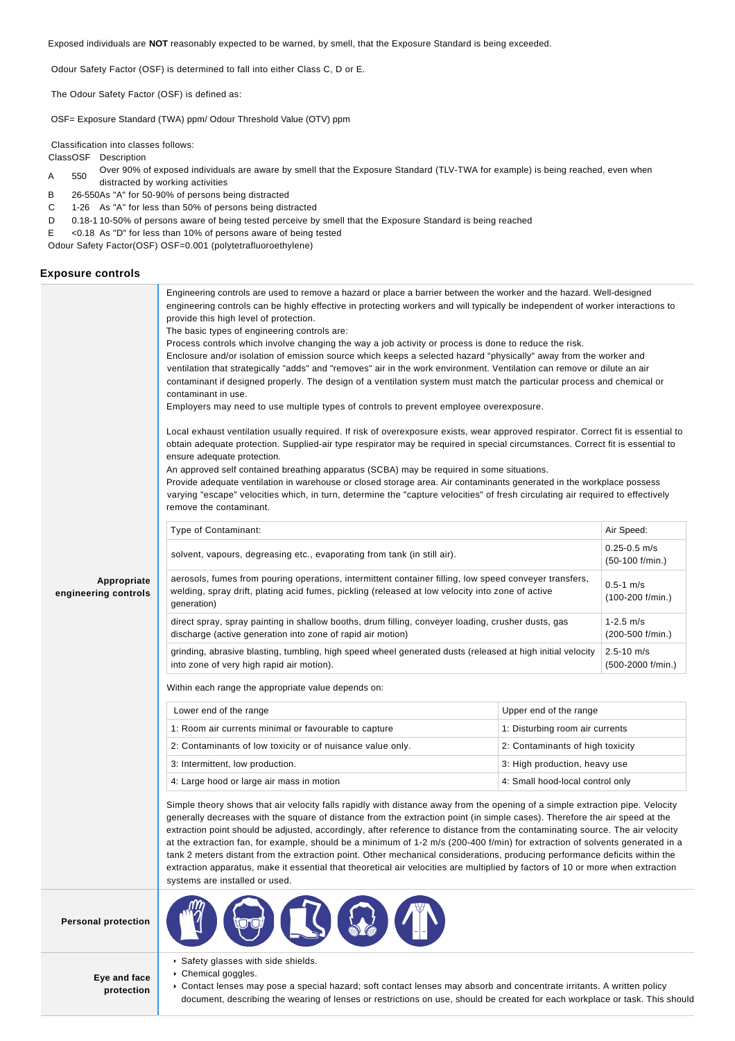Exposed individuals are **NOT** reasonably expected to be warned, by smell, that the Exposure Standard is being exceeded.

Odour Safety Factor (OSF) is determined to fall into either Class C, D or E.

The Odour Safety Factor (OSF) is defined as:

OSF= Exposure Standard (TWA) ppm/ Odour Threshold Value (OTV) ppm

Classification into classes follows:

ClassOSF Description

- A 550 Over 90% of exposed individuals are aware by smell that the Exposure Standard (TLV-TWA for example) is being reached, even when
- distracted by working activities B 26-550As "A" for 50-90% of persons being distracted
- C 1-26 As "A" for less than 50% of persons being distracted
- D 0.18-1 10-50% of persons aware of being tested perceive by smell that the Exposure Standard is being reached
- E <0.18 As "D" for less than 10% of persons aware of being tested

Odour Safety Factor(OSF) OSF=0.001 (polytetrafluoroethylene)

#### **Exposure controls**

|                                     | Engineering controls are used to remove a hazard or place a barrier between the worker and the hazard. Well-designed<br>engineering controls can be highly effective in protecting workers and will typically be independent of worker interactions to<br>provide this high level of protection.<br>The basic types of engineering controls are:<br>Process controls which involve changing the way a job activity or process is done to reduce the risk.<br>Enclosure and/or isolation of emission source which keeps a selected hazard "physically" away from the worker and<br>ventilation that strategically "adds" and "removes" air in the work environment. Ventilation can remove or dilute an air<br>contaminant if designed properly. The design of a ventilation system must match the particular process and chemical or<br>contaminant in use.<br>Employers may need to use multiple types of controls to prevent employee overexposure.<br>Local exhaust ventilation usually required. If risk of overexposure exists, wear approved respirator. Correct fit is essential to<br>obtain adequate protection. Supplied-air type respirator may be required in special circumstances. Correct fit is essential to<br>ensure adequate protection.<br>An approved self contained breathing apparatus (SCBA) may be required in some situations.<br>Provide adequate ventilation in warehouse or closed storage area. Air contaminants generated in the workplace possess<br>varying "escape" velocities which, in turn, determine the "capture velocities" of fresh circulating air required to effectively<br>remove the contaminant. |                                     |            |  |  |
|-------------------------------------|-------------------------------------------------------------------------------------------------------------------------------------------------------------------------------------------------------------------------------------------------------------------------------------------------------------------------------------------------------------------------------------------------------------------------------------------------------------------------------------------------------------------------------------------------------------------------------------------------------------------------------------------------------------------------------------------------------------------------------------------------------------------------------------------------------------------------------------------------------------------------------------------------------------------------------------------------------------------------------------------------------------------------------------------------------------------------------------------------------------------------------------------------------------------------------------------------------------------------------------------------------------------------------------------------------------------------------------------------------------------------------------------------------------------------------------------------------------------------------------------------------------------------------------------------------------------------------------------------------------------------------------------------|-------------------------------------|------------|--|--|
|                                     | Type of Contaminant:                                                                                                                                                                                                                                                                                                                                                                                                                                                                                                                                                                                                                                                                                                                                                                                                                                                                                                                                                                                                                                                                                                                                                                                                                                                                                                                                                                                                                                                                                                                                                                                                                            |                                     | Air Speed: |  |  |
|                                     | $0.25 - 0.5$ m/s<br>solvent, vapours, degreasing etc., evaporating from tank (in still air).<br>$(50-100)$ f/min.)                                                                                                                                                                                                                                                                                                                                                                                                                                                                                                                                                                                                                                                                                                                                                                                                                                                                                                                                                                                                                                                                                                                                                                                                                                                                                                                                                                                                                                                                                                                              |                                     |            |  |  |
| Appropriate<br>engineering controls | aerosols, fumes from pouring operations, intermittent container filling, low speed conveyer transfers,<br>welding, spray drift, plating acid fumes, pickling (released at low velocity into zone of active<br>generation)                                                                                                                                                                                                                                                                                                                                                                                                                                                                                                                                                                                                                                                                                                                                                                                                                                                                                                                                                                                                                                                                                                                                                                                                                                                                                                                                                                                                                       | $0.5 - 1$ m/s<br>$(100-200$ f/min.) |            |  |  |
|                                     | direct spray, spray painting in shallow booths, drum filling, conveyer loading, crusher dusts, gas<br>discharge (active generation into zone of rapid air motion)                                                                                                                                                                                                                                                                                                                                                                                                                                                                                                                                                                                                                                                                                                                                                                                                                                                                                                                                                                                                                                                                                                                                                                                                                                                                                                                                                                                                                                                                               | $1 - 2.5$ m/s<br>(200-500 f/min.)   |            |  |  |
|                                     | grinding, abrasive blasting, tumbling, high speed wheel generated dusts (released at high initial velocity<br>into zone of very high rapid air motion).                                                                                                                                                                                                                                                                                                                                                                                                                                                                                                                                                                                                                                                                                                                                                                                                                                                                                                                                                                                                                                                                                                                                                                                                                                                                                                                                                                                                                                                                                         | $2.5 - 10$ m/s<br>(500-2000 f/min.) |            |  |  |
|                                     | Within each range the appropriate value depends on:                                                                                                                                                                                                                                                                                                                                                                                                                                                                                                                                                                                                                                                                                                                                                                                                                                                                                                                                                                                                                                                                                                                                                                                                                                                                                                                                                                                                                                                                                                                                                                                             |                                     |            |  |  |
|                                     | Lower end of the range                                                                                                                                                                                                                                                                                                                                                                                                                                                                                                                                                                                                                                                                                                                                                                                                                                                                                                                                                                                                                                                                                                                                                                                                                                                                                                                                                                                                                                                                                                                                                                                                                          | Upper end of the range              |            |  |  |
|                                     | 1: Room air currents minimal or favourable to capture                                                                                                                                                                                                                                                                                                                                                                                                                                                                                                                                                                                                                                                                                                                                                                                                                                                                                                                                                                                                                                                                                                                                                                                                                                                                                                                                                                                                                                                                                                                                                                                           | 1: Disturbing room air currents     |            |  |  |
|                                     | 2: Contaminants of low toxicity or of nuisance value only.                                                                                                                                                                                                                                                                                                                                                                                                                                                                                                                                                                                                                                                                                                                                                                                                                                                                                                                                                                                                                                                                                                                                                                                                                                                                                                                                                                                                                                                                                                                                                                                      | 2: Contaminants of high toxicity    |            |  |  |
|                                     | 3: Intermittent, low production.                                                                                                                                                                                                                                                                                                                                                                                                                                                                                                                                                                                                                                                                                                                                                                                                                                                                                                                                                                                                                                                                                                                                                                                                                                                                                                                                                                                                                                                                                                                                                                                                                | 3: High production, heavy use       |            |  |  |
|                                     | 4: Large hood or large air mass in motion<br>4: Small hood-local control only                                                                                                                                                                                                                                                                                                                                                                                                                                                                                                                                                                                                                                                                                                                                                                                                                                                                                                                                                                                                                                                                                                                                                                                                                                                                                                                                                                                                                                                                                                                                                                   |                                     |            |  |  |
|                                     | Simple theory shows that air velocity falls rapidly with distance away from the opening of a simple extraction pipe. Velocity<br>generally decreases with the square of distance from the extraction point (in simple cases). Therefore the air speed at the<br>extraction point should be adjusted, accordingly, after reference to distance from the contaminating source. The air velocity<br>at the extraction fan, for example, should be a minimum of 1-2 m/s (200-400 f/min) for extraction of solvents generated in a<br>tank 2 meters distant from the extraction point. Other mechanical considerations, producing performance deficits within the<br>extraction apparatus, make it essential that theoretical air velocities are multiplied by factors of 10 or more when extraction                                                                                                                                                                                                                                                                                                                                                                                                                                                                                                                                                                                                                                                                                                                                                                                                                                                 |                                     |            |  |  |
| <b>Personal protection</b>          |                                                                                                                                                                                                                                                                                                                                                                                                                                                                                                                                                                                                                                                                                                                                                                                                                                                                                                                                                                                                                                                                                                                                                                                                                                                                                                                                                                                                                                                                                                                                                                                                                                                 |                                     |            |  |  |
|                                     | Safety glasses with side shields.                                                                                                                                                                                                                                                                                                                                                                                                                                                                                                                                                                                                                                                                                                                                                                                                                                                                                                                                                                                                                                                                                                                                                                                                                                                                                                                                                                                                                                                                                                                                                                                                               |                                     |            |  |  |

**Eye and face protection**

- 
- Chemical goggles.
- Contact lenses may pose a special hazard; soft contact lenses may absorb and concentrate irritants. A written policy document, describing the wearing of lenses or restrictions on use, should be created for each workplace or task. This should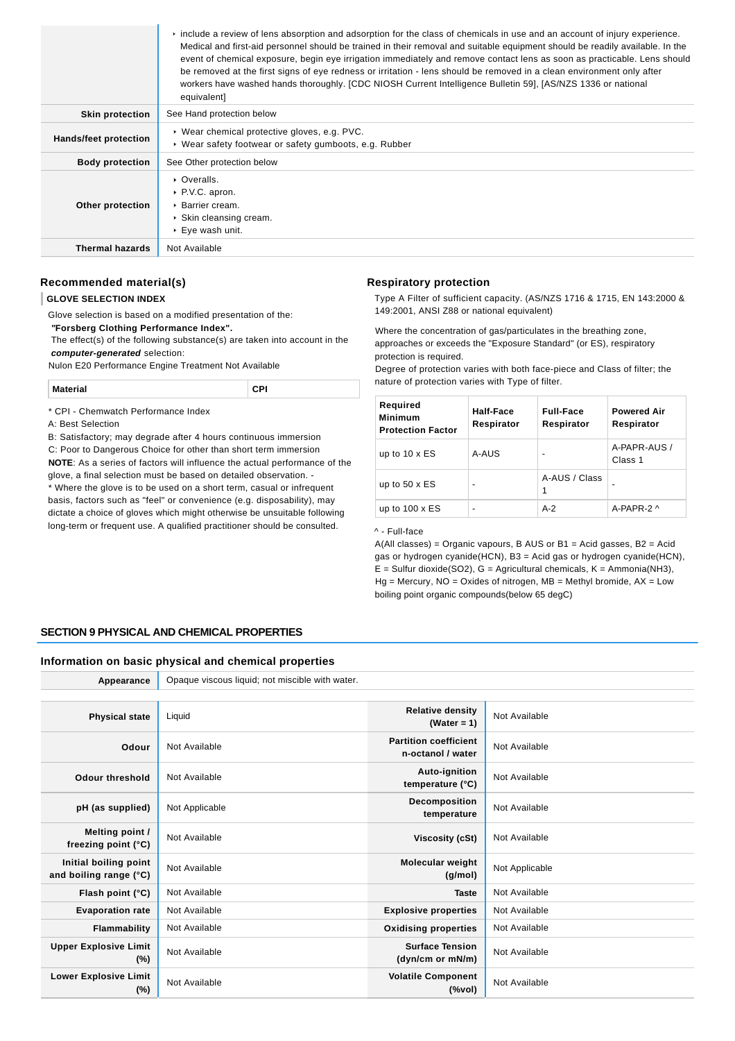|                        | $\triangleright$ include a review of lens absorption and adsorption for the class of chemicals in use and an account of injury experience.<br>Medical and first-aid personnel should be trained in their removal and suitable equipment should be readily available. In the<br>event of chemical exposure, begin eye irrigation immediately and remove contact lens as soon as practicable. Lens should<br>be removed at the first signs of eye redness or irritation - lens should be removed in a clean environment only after<br>workers have washed hands thoroughly. [CDC NIOSH Current Intelligence Bulletin 59], [AS/NZS 1336 or national<br>equivalent] |
|------------------------|-----------------------------------------------------------------------------------------------------------------------------------------------------------------------------------------------------------------------------------------------------------------------------------------------------------------------------------------------------------------------------------------------------------------------------------------------------------------------------------------------------------------------------------------------------------------------------------------------------------------------------------------------------------------|
| <b>Skin protection</b> | See Hand protection below                                                                                                                                                                                                                                                                                                                                                                                                                                                                                                                                                                                                                                       |
| Hands/feet protection  | ▶ Wear chemical protective gloves, e.g. PVC.<br>▶ Wear safety footwear or safety gumboots, e.g. Rubber                                                                                                                                                                                                                                                                                                                                                                                                                                                                                                                                                          |
| <b>Body protection</b> | See Other protection below                                                                                                                                                                                                                                                                                                                                                                                                                                                                                                                                                                                                                                      |
| Other protection       | • Overalls.<br>▶ P.V.C. apron.<br>▶ Barrier cream.<br>▶ Skin cleansing cream.<br>▶ Eye wash unit.                                                                                                                                                                                                                                                                                                                                                                                                                                                                                                                                                               |
| <b>Thermal hazards</b> | Not Available                                                                                                                                                                                                                                                                                                                                                                                                                                                                                                                                                                                                                                                   |

# **Recommended material(s)**

#### **GLOVE SELECTION INDEX**

Glove selection is based on a modified presentation of the:

 **"Forsberg Clothing Performance Index".**

 The effect(s) of the following substance(s) are taken into account in the **computer-generated** selection:

Nulon E20 Performance Engine Treatment Not Available

| <b>Material</b> | . . |
|-----------------|-----|
|                 |     |

\* CPI - Chemwatch Performance Index

A: Best Selection

B: Satisfactory; may degrade after 4 hours continuous immersion

C: Poor to Dangerous Choice for other than short term immersion **NOTE**: As a series of factors will influence the actual performance of the

glove, a final selection must be based on detailed observation. - \* Where the glove is to be used on a short term, casual or infrequent basis, factors such as "feel" or convenience (e.g. disposability), may dictate a choice of gloves which might otherwise be unsuitable following long-term or frequent use. A qualified practitioner should be consulted.

#### **Respiratory protection**

Type A Filter of sufficient capacity. (AS/NZS 1716 & 1715, EN 143:2000 & 149:2001, ANSI Z88 or national equivalent)

Where the concentration of gas/particulates in the breathing zone, approaches or exceeds the "Exposure Standard" (or ES), respiratory protection is required.

Degree of protection varies with both face-piece and Class of filter; the nature of protection varies with Type of filter.

| Required<br>Minimum<br><b>Protection Factor</b> | Half-Face<br>Respirator | <b>Full-Face</b><br>Respirator | <b>Powered Air</b><br>Respirator |
|-------------------------------------------------|-------------------------|--------------------------------|----------------------------------|
| up to $10 \times ES$                            | A-AUS                   | -                              | A-PAPR-AUS /<br>Class 1          |
| up to $50 \times ES$                            | -                       | A-AUS / Class<br>1             |                                  |
| up to $100 \times ES$                           | -                       | $A-2$                          | A-PAPR-2 $\wedge$                |

^ - Full-face

A(All classes) = Organic vapours, B AUS or B1 = Acid gasses, B2 = Acid gas or hydrogen cyanide(HCN), B3 = Acid gas or hydrogen cyanide(HCN),  $E =$  Sulfur dioxide(SO2), G = Agricultural chemicals, K = Ammonia(NH3),  $Hg =$  Mercury, NO = Oxides of nitrogen, MB = Methyl bromide,  $AX =$  Low boiling point organic compounds(below 65 degC)

# **SECTION 9 PHYSICAL AND CHEMICAL PROPERTIES**

#### **Information on basic physical and chemical properties**

**Appearance** Opaque viscous liquid; not miscible with water.

| <b>Physical state</b>                           | Liquid         | <b>Relative density</b><br>(Water = $1$ )                                     | Not Available  |
|-------------------------------------------------|----------------|-------------------------------------------------------------------------------|----------------|
| Odour                                           | Not Available  | <b>Partition coefficient</b><br>n-octanol / water                             | Not Available  |
| Odour threshold                                 | Not Available  | Auto-ignition<br>temperature (°C)                                             | Not Available  |
| pH (as supplied)                                | Not Applicable | Decomposition<br>temperature                                                  | Not Available  |
| Melting point /<br>freezing point $(°C)$        | Not Available  | <b>Viscosity (cSt)</b>                                                        | Not Available  |
| Initial boiling point<br>and boiling range (°C) | Not Available  | Molecular weight<br>(g/mol)                                                   | Not Applicable |
| Flash point (°C)                                | Not Available  | <b>Taste</b>                                                                  | Not Available  |
| <b>Evaporation rate</b>                         | Not Available  | <b>Explosive properties</b>                                                   | Not Available  |
| Flammability                                    | Not Available  | <b>Oxidising properties</b>                                                   | Not Available  |
| <b>Upper Explosive Limit</b><br>$(\%)$          | Not Available  | <b>Surface Tension</b><br>(dyn/cm or mN/m)                                    | Not Available  |
| <b>Lower Explosive Limit</b><br>$(\%)$          | Not Available  | <b>Volatile Component</b><br>$(% \mathcal{L}^{\prime }\mathcal{N}^{\prime })$ | Not Available  |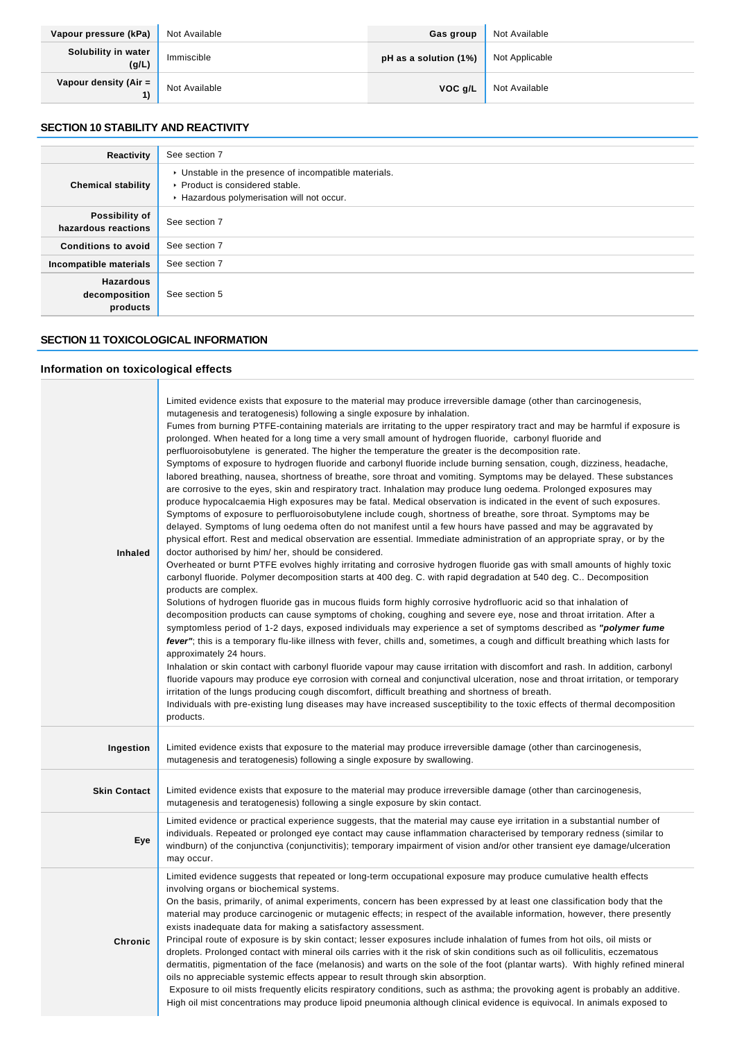| Vapour pressure (kPa)                 | Not Available | Gas group             | Not Available  |
|---------------------------------------|---------------|-----------------------|----------------|
| Solubility in water<br>(g/L)          | Immiscible    | pH as a solution (1%) | Not Applicable |
| Vapour density (Air $=$ $\vert$<br>1) | Not Available | VOC g/L               | Not Available  |

# **SECTION 10 STABILITY AND REACTIVITY**

| Reactivity                                    | See section 7                                                                                                                        |
|-----------------------------------------------|--------------------------------------------------------------------------------------------------------------------------------------|
| <b>Chemical stability</b>                     | • Unstable in the presence of incompatible materials.<br>▶ Product is considered stable.<br>Hazardous polymerisation will not occur. |
| Possibility of<br>hazardous reactions         | See section 7                                                                                                                        |
| <b>Conditions to avoid</b>                    | See section 7                                                                                                                        |
| Incompatible materials                        | See section 7                                                                                                                        |
| <b>Hazardous</b><br>decomposition<br>products | See section 5                                                                                                                        |

# **SECTION 11 TOXICOLOGICAL INFORMATION**

- 1

# **Information on toxicological effects**

| <b>Inhaled</b>      | Limited evidence exists that exposure to the material may produce irreversible damage (other than carcinogenesis,<br>mutagenesis and teratogenesis) following a single exposure by inhalation.<br>Fumes from burning PTFE-containing materials are irritating to the upper respiratory tract and may be harmful if exposure is<br>prolonged. When heated for a long time a very small amount of hydrogen fluoride, carbonyl fluoride and<br>perfluoroisobutylene is generated. The higher the temperature the greater is the decomposition rate.<br>Symptoms of exposure to hydrogen fluoride and carbonyl fluoride include burning sensation, cough, dizziness, headache,<br>labored breathing, nausea, shortness of breathe, sore throat and vomiting. Symptoms may be delayed. These substances<br>are corrosive to the eyes, skin and respiratory tract. Inhalation may produce lung oedema. Prolonged exposures may<br>produce hypocalcaemia High exposures may be fatal. Medical observation is indicated in the event of such exposures.<br>Symptoms of exposure to perfluoroisobutylene include cough, shortness of breathe, sore throat. Symptoms may be<br>delayed. Symptoms of lung oedema often do not manifest until a few hours have passed and may be aggravated by<br>physical effort. Rest and medical observation are essential. Immediate administration of an appropriate spray, or by the<br>doctor authorised by him/ her, should be considered.<br>Overheated or burnt PTFE evolves highly irritating and corrosive hydrogen fluoride gas with small amounts of highly toxic<br>carbonyl fluoride. Polymer decomposition starts at 400 deg. C. with rapid degradation at 540 deg. C Decomposition<br>products are complex.<br>Solutions of hydrogen fluoride gas in mucous fluids form highly corrosive hydrofluoric acid so that inhalation of<br>decomposition products can cause symptoms of choking, coughing and severe eye, nose and throat irritation. After a<br>symptomless period of 1-2 days, exposed individuals may experience a set of symptoms described as "polymer fume<br>fever"; this is a temporary flu-like illness with fever, chills and, sometimes, a cough and difficult breathing which lasts for<br>approximately 24 hours.<br>Inhalation or skin contact with carbonyl fluoride vapour may cause irritation with discomfort and rash. In addition, carbonyl<br>fluoride vapours may produce eye corrosion with corneal and conjunctival ulceration, nose and throat irritation, or temporary<br>irritation of the lungs producing cough discomfort, difficult breathing and shortness of breath.<br>Individuals with pre-existing lung diseases may have increased susceptibility to the toxic effects of thermal decomposition<br>products. |
|---------------------|-------------------------------------------------------------------------------------------------------------------------------------------------------------------------------------------------------------------------------------------------------------------------------------------------------------------------------------------------------------------------------------------------------------------------------------------------------------------------------------------------------------------------------------------------------------------------------------------------------------------------------------------------------------------------------------------------------------------------------------------------------------------------------------------------------------------------------------------------------------------------------------------------------------------------------------------------------------------------------------------------------------------------------------------------------------------------------------------------------------------------------------------------------------------------------------------------------------------------------------------------------------------------------------------------------------------------------------------------------------------------------------------------------------------------------------------------------------------------------------------------------------------------------------------------------------------------------------------------------------------------------------------------------------------------------------------------------------------------------------------------------------------------------------------------------------------------------------------------------------------------------------------------------------------------------------------------------------------------------------------------------------------------------------------------------------------------------------------------------------------------------------------------------------------------------------------------------------------------------------------------------------------------------------------------------------------------------------------------------------------------------------------------------------------------------------------------------------------------------------------------------------------------------------------------------------------------------------------------------------------------------------------------------------------------------------------------------------------------------------------------------------------------------------------------|
| Ingestion           | Limited evidence exists that exposure to the material may produce irreversible damage (other than carcinogenesis,<br>mutagenesis and teratogenesis) following a single exposure by swallowing.                                                                                                                                                                                                                                                                                                                                                                                                                                                                                                                                                                                                                                                                                                                                                                                                                                                                                                                                                                                                                                                                                                                                                                                                                                                                                                                                                                                                                                                                                                                                                                                                                                                                                                                                                                                                                                                                                                                                                                                                                                                                                                                                                                                                                                                                                                                                                                                                                                                                                                                                                                                                  |
| <b>Skin Contact</b> | Limited evidence exists that exposure to the material may produce irreversible damage (other than carcinogenesis,<br>mutagenesis and teratogenesis) following a single exposure by skin contact.                                                                                                                                                                                                                                                                                                                                                                                                                                                                                                                                                                                                                                                                                                                                                                                                                                                                                                                                                                                                                                                                                                                                                                                                                                                                                                                                                                                                                                                                                                                                                                                                                                                                                                                                                                                                                                                                                                                                                                                                                                                                                                                                                                                                                                                                                                                                                                                                                                                                                                                                                                                                |
| Eye                 | Limited evidence or practical experience suggests, that the material may cause eye irritation in a substantial number of<br>individuals. Repeated or prolonged eye contact may cause inflammation characterised by temporary redness (similar to<br>windburn) of the conjunctiva (conjunctivitis); temporary impairment of vision and/or other transient eye damage/ulceration<br>may occur.                                                                                                                                                                                                                                                                                                                                                                                                                                                                                                                                                                                                                                                                                                                                                                                                                                                                                                                                                                                                                                                                                                                                                                                                                                                                                                                                                                                                                                                                                                                                                                                                                                                                                                                                                                                                                                                                                                                                                                                                                                                                                                                                                                                                                                                                                                                                                                                                    |
| <b>Chronic</b>      | Limited evidence suggests that repeated or long-term occupational exposure may produce cumulative health effects<br>involving organs or biochemical systems.<br>On the basis, primarily, of animal experiments, concern has been expressed by at least one classification body that the<br>material may produce carcinogenic or mutagenic effects; in respect of the available information, however, there presently<br>exists inadequate data for making a satisfactory assessment.<br>Principal route of exposure is by skin contact; lesser exposures include inhalation of fumes from hot oils, oil mists or<br>droplets. Prolonged contact with mineral oils carries with it the risk of skin conditions such as oil folliculitis, eczematous<br>dermatitis, pigmentation of the face (melanosis) and warts on the sole of the foot (plantar warts). With highly refined mineral<br>oils no appreciable systemic effects appear to result through skin absorption.<br>Exposure to oil mists frequently elicits respiratory conditions, such as asthma; the provoking agent is probably an additive.<br>High oil mist concentrations may produce lipoid pneumonia although clinical evidence is equivocal. In animals exposed to                                                                                                                                                                                                                                                                                                                                                                                                                                                                                                                                                                                                                                                                                                                                                                                                                                                                                                                                                                                                                                                                                                                                                                                                                                                                                                                                                                                                                                                                                                                                                            |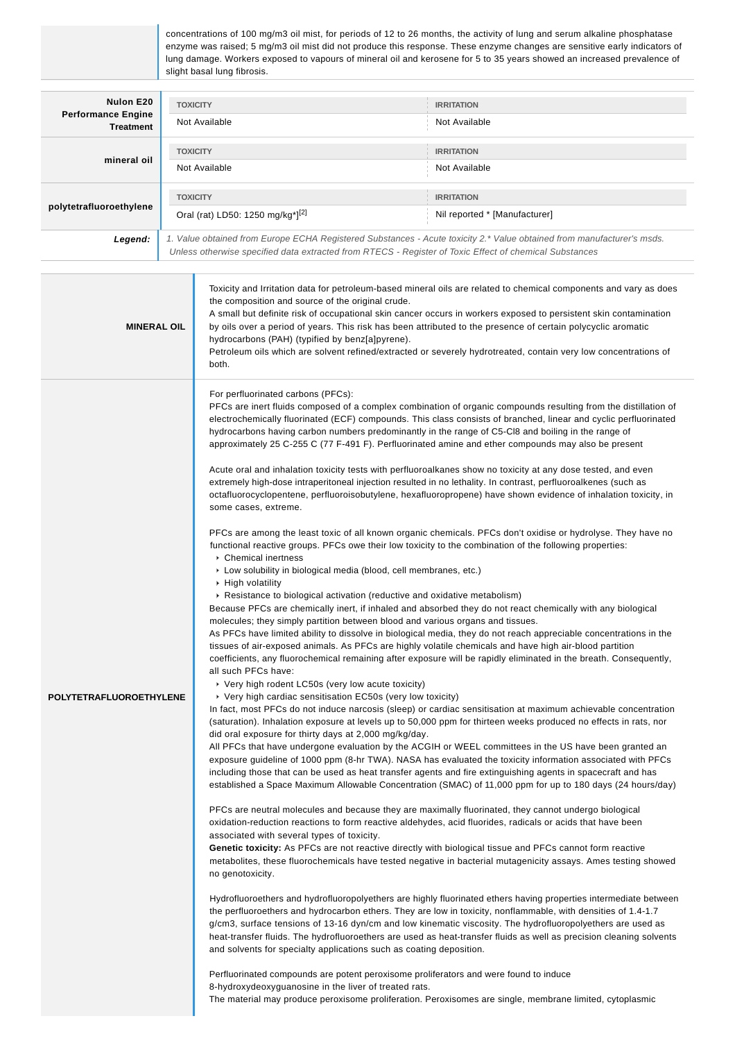concentrations of 100 mg/m3 oil mist, for periods of 12 to 26 months, the activity of lung and serum alkaline phosphatase enzyme was raised; 5 mg/m3 oil mist did not produce this response. These enzyme changes are sensitive early indicators of lung damage. Workers exposed to vapours of mineral oil and kerosene for 5 to 35 years showed an increased prevalence of slight basal lung fibrosis.

| Nulon E20<br><b>Performance Engine</b><br><b>Treatment</b> | <b>TOXICITY</b><br>Not Available                                             | <b>IRRITATION</b><br>Not Available                                                                                                                                                                                               |
|------------------------------------------------------------|------------------------------------------------------------------------------|----------------------------------------------------------------------------------------------------------------------------------------------------------------------------------------------------------------------------------|
| mineral oil                                                | <b>TOXICITY</b><br>Not Available                                             | <b>IRRITATION</b><br>Not Available                                                                                                                                                                                               |
| polytetrafluoroethylene                                    | <b>TOXICITY</b><br>Oral (rat) LD50: 1250 mg/kg <sup>*</sup> ] <sup>[2]</sup> | <b>IRRITATION</b><br>Nil reported * [Manufacturer]                                                                                                                                                                               |
| Legend:                                                    |                                                                              | 1. Value obtained from Europe ECHA Registered Substances - Acute toxicity 2.* Value obtained from manufacturer's msds.<br>Unless otherwise specified data extracted from RTECS - Register of Toxic Effect of chemical Substances |

| <b>MINERAL OIL</b>      | Toxicity and Irritation data for petroleum-based mineral oils are related to chemical components and vary as does<br>the composition and source of the original crude.<br>A small but definite risk of occupational skin cancer occurs in workers exposed to persistent skin contamination<br>by oils over a period of years. This risk has been attributed to the presence of certain polycyclic aromatic<br>hydrocarbons (PAH) (typified by benz[a]pyrene).<br>Petroleum oils which are solvent refined/extracted or severely hydrotreated, contain very low concentrations of<br>both.                                                                                                                                                                                                                                                                                                                                                                                                                                                                                                                                                                                                                                                                                                                                                                                                                                                                                                                                                                                                                                                                                                                                                                                                                                                                                                                                                                                                                                                                                                                                                                                                                    |
|-------------------------|--------------------------------------------------------------------------------------------------------------------------------------------------------------------------------------------------------------------------------------------------------------------------------------------------------------------------------------------------------------------------------------------------------------------------------------------------------------------------------------------------------------------------------------------------------------------------------------------------------------------------------------------------------------------------------------------------------------------------------------------------------------------------------------------------------------------------------------------------------------------------------------------------------------------------------------------------------------------------------------------------------------------------------------------------------------------------------------------------------------------------------------------------------------------------------------------------------------------------------------------------------------------------------------------------------------------------------------------------------------------------------------------------------------------------------------------------------------------------------------------------------------------------------------------------------------------------------------------------------------------------------------------------------------------------------------------------------------------------------------------------------------------------------------------------------------------------------------------------------------------------------------------------------------------------------------------------------------------------------------------------------------------------------------------------------------------------------------------------------------------------------------------------------------------------------------------------------------|
|                         | For perfluorinated carbons (PFCs):<br>PFCs are inert fluids composed of a complex combination of organic compounds resulting from the distillation of<br>electrochemically fluorinated (ECF) compounds. This class consists of branched, linear and cyclic perfluorinated<br>hydrocarbons having carbon numbers predominantly in the range of C5-Cl8 and boiling in the range of<br>approximately 25 C-255 C (77 F-491 F). Perfluorinated amine and ether compounds may also be present<br>Acute oral and inhalation toxicity tests with perfluoroalkanes show no toxicity at any dose tested, and even<br>extremely high-dose intraperitoneal injection resulted in no lethality. In contrast, perfluoroalkenes (such as<br>octafluorocyclopentene, perfluoroisobutylene, hexafluoropropene) have shown evidence of inhalation toxicity, in<br>some cases, extreme.<br>PFCs are among the least toxic of all known organic chemicals. PFCs don't oxidise or hydrolyse. They have no<br>functional reactive groups. PFCs owe their low toxicity to the combination of the following properties:<br>Chemical inertness<br>Low solubility in biological media (blood, cell membranes, etc.)<br>▶ High volatility<br>▶ Resistance to biological activation (reductive and oxidative metabolism)<br>Because PFCs are chemically inert, if inhaled and absorbed they do not react chemically with any biological<br>molecules; they simply partition between blood and various organs and tissues.<br>As PFCs have limited ability to dissolve in biological media, they do not reach appreciable concentrations in the<br>tissues of air-exposed animals. As PFCs are highly volatile chemicals and have high air-blood partition<br>coefficients, any fluorochemical remaining after exposure will be rapidly eliminated in the breath. Consequently,<br>all such PFCs have:                                                                                                                                                                                                                                                                                                                                    |
| POLYTETRAFLUOROETHYLENE | ▸ Very high rodent LC50s (very low acute toxicity)<br>▸ Very high cardiac sensitisation EC50s (very low toxicity)<br>In fact, most PFCs do not induce narcosis (sleep) or cardiac sensitisation at maximum achievable concentration<br>(saturation). Inhalation exposure at levels up to 50,000 ppm for thirteen weeks produced no effects in rats, nor<br>did oral exposure for thirty days at 2,000 mg/kg/day.<br>All PFCs that have undergone evaluation by the ACGIH or WEEL committees in the US have been granted an<br>exposure guideline of 1000 ppm (8-hr TWA). NASA has evaluated the toxicity information associated with PFCs<br>including those that can be used as heat transfer agents and fire extinguishing agents in spacecraft and has<br>established a Space Maximum Allowable Concentration (SMAC) of 11,000 ppm for up to 180 days (24 hours/day)<br>PFCs are neutral molecules and because they are maximally fluorinated, they cannot undergo biological<br>oxidation-reduction reactions to form reactive aldehydes, acid fluorides, radicals or acids that have been<br>associated with several types of toxicity.<br>Genetic toxicity: As PFCs are not reactive directly with biological tissue and PFCs cannot form reactive<br>metabolites, these fluorochemicals have tested negative in bacterial mutagenicity assays. Ames testing showed<br>no genotoxicity.<br>Hydrofluoroethers and hydrofluoropolyethers are highly fluorinated ethers having properties intermediate between<br>the perfluoroethers and hydrocarbon ethers. They are low in toxicity, nonflammable, with densities of 1.4-1.7<br>g/cm3, surface tensions of 13-16 dyn/cm and low kinematic viscosity. The hydrofluoropolyethers are used as<br>heat-transfer fluids. The hydrofluoroethers are used as heat-transfer fluids as well as precision cleaning solvents<br>and solvents for specialty applications such as coating deposition.<br>Perfluorinated compounds are potent peroxisome proliferators and were found to induce<br>8-hydroxydeoxyguanosine in the liver of treated rats.<br>The material may produce peroxisome proliferation. Peroxisomes are single, membrane limited, cytoplasmic |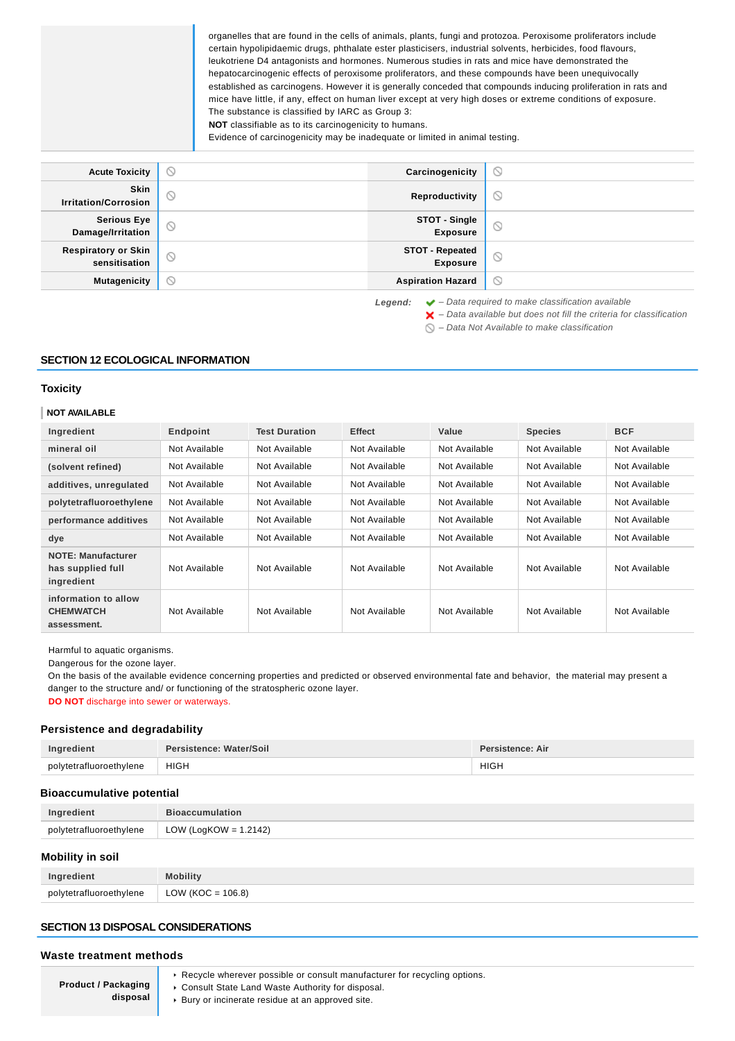organelles that are found in the cells of animals, plants, fungi and protozoa. Peroxisome proliferators include certain hypolipidaemic drugs, phthalate ester plasticisers, industrial solvents, herbicides, food flavours, leukotriene D4 antagonists and hormones. Numerous studies in rats and mice have demonstrated the hepatocarcinogenic effects of peroxisome proliferators, and these compounds have been unequivocally established as carcinogens. However it is generally conceded that compounds inducing proliferation in rats and mice have little, if any, effect on human liver except at very high doses or extreme conditions of exposure. The substance is classified by IARC as Group 3:

**NOT** classifiable as to its carcinogenicity to humans.

Evidence of carcinogenicity may be inadequate or limited in animal testing.

| <b>Acute Toxicity</b>                       | $\circ$ | Carcinogenicity                           | $\odot$                                                                                                                                                                                                                        |
|---------------------------------------------|---------|-------------------------------------------|--------------------------------------------------------------------------------------------------------------------------------------------------------------------------------------------------------------------------------|
| Skin<br><b>Irritation/Corrosion</b>         | $\odot$ | Reproductivity                            | $\circlearrowright$                                                                                                                                                                                                            |
| <b>Serious Eye</b><br>Damage/Irritation     | $\odot$ | STOT - Single<br><b>Exposure</b>          | $\odot$                                                                                                                                                                                                                        |
| <b>Respiratory or Skin</b><br>sensitisation | $\odot$ | <b>STOT - Repeated</b><br><b>Exposure</b> | $\circlearrowright$                                                                                                                                                                                                            |
| <b>Mutagenicity</b>                         | $\circ$ | <b>Aspiration Hazard</b>                  | $\odot$                                                                                                                                                                                                                        |
|                                             |         |                                           | the contract of the contract of the contract of the contract of the contract of the contract of the contract of the contract of the contract of the contract of the contract of the contract of the contract of the contract o |

**Legend:** ◆ - Data required to make classification available

#### **SECTION 12 ECOLOGICAL INFORMATION**

#### **Toxicity**

#### **NOT AVAILABLE**

| Ingredient                                                   | Endpoint      | <b>Test Duration</b> | <b>Effect</b> | Value         | <b>Species</b> | <b>BCF</b>    |
|--------------------------------------------------------------|---------------|----------------------|---------------|---------------|----------------|---------------|
| mineral oil                                                  | Not Available | Not Available        | Not Available | Not Available | Not Available  | Not Available |
| (solvent refined)                                            | Not Available | Not Available        | Not Available | Not Available | Not Available  | Not Available |
| additives, unregulated                                       | Not Available | Not Available        | Not Available | Not Available | Not Available  | Not Available |
| polytetrafluoroethylene                                      | Not Available | Not Available        | Not Available | Not Available | Not Available  | Not Available |
| performance additives                                        | Not Available | Not Available        | Not Available | Not Available | Not Available  | Not Available |
| dye                                                          | Not Available | Not Available        | Not Available | Not Available | Not Available  | Not Available |
| <b>NOTE: Manufacturer</b><br>has supplied full<br>ingredient | Not Available | Not Available        | Not Available | Not Available | Not Available  | Not Available |
| information to allow<br><b>CHEMWATCH</b><br>assessment.      | Not Available | Not Available        | Not Available | Not Available | Not Available  | Not Available |

Harmful to aquatic organisms.

Dangerous for the ozone layer.

On the basis of the available evidence concerning properties and predicted or observed environmental fate and behavior, the material may present a danger to the structure and/ or functioning of the stratospheric ozone layer.

**DO NOT** discharge into sewer or waterways.

# **Persistence and degradability**

| Ingredient              | Persistence: Water/Soil | Persistence: Air     |
|-------------------------|-------------------------|----------------------|
| polytetrafluoroethylene | <b>HIGH</b>             | <b>HIGH</b><br>_____ |

#### **Bioaccumulative potential**

| Ingredient              | <b>Bioaccumulation</b> |
|-------------------------|------------------------|
| polytetrafluoroethylene | LOW (LogKOW = 1.2142)  |
|                         |                        |

# **Mobility in soil**

|                         | Mobility <sup>1</sup> |
|-------------------------|-----------------------|
| polytetrafluoroethylene | LOW (KOC = $106.8$ )  |

# **SECTION 13 DISPOSAL CONSIDERATIONS**

#### **Waste treatment methods**

**Product / Packaging disposal**

- ▶ Recycle wherever possible or consult manufacturer for recycling options.
- Consult State Land Waste Authority for disposal.
- Bury or incinerate residue at an approved site.

 $\blacktriangleright$  – Data available but does not fill the criteria for classification

 $\bigcirc$  – Data Not Available to make classification